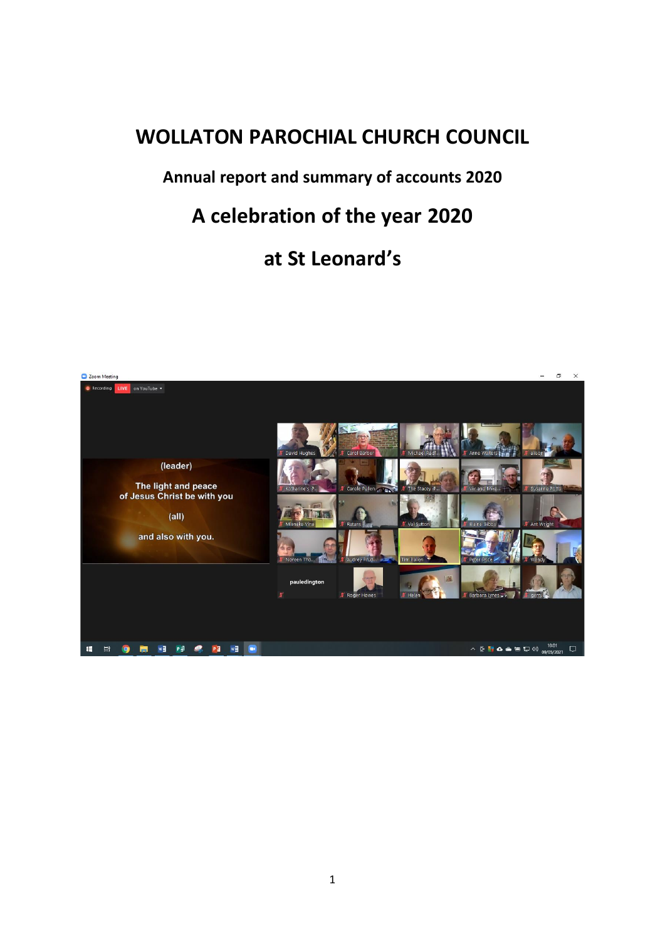# **WOLLATON PAROCHIAL CHURCH COUNCIL**

## **Annual report and summary of accounts 2020**

# **A celebration of the year 2020**

# **at St Leonard's**

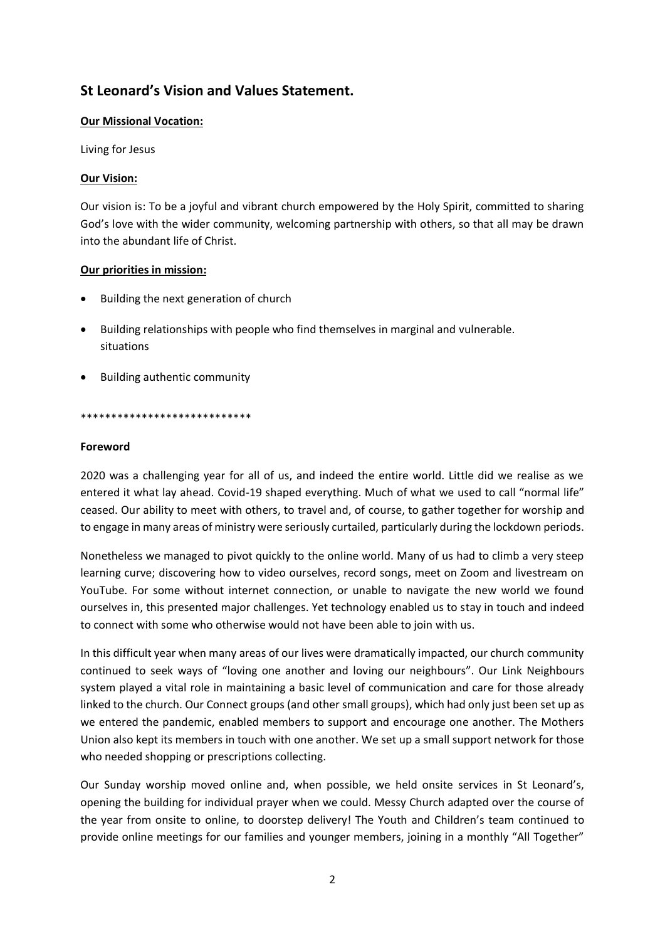## **St Leonard's Vision and Values Statement.**

## **Our Missional Vocation:**

Living for Jesus

## **Our Vision:**

Our vision is: To be a joyful and vibrant church empowered by the Holy Spirit, committed to sharing God's love with the wider community, welcoming partnership with others, so that all may be drawn into the abundant life of Christ.

## **Our priorities in mission:**

- Building the next generation of church
- Building relationships with people who find themselves in marginal and vulnerable. situations
- Building authentic community

#### \*\*\*\*\*\*\*\*\*\*\*\*\*\*\*\*\*\*\*\*\*\*\*\*\*\*\*\*

#### **Foreword**

2020 was a challenging year for all of us, and indeed the entire world. Little did we realise as we entered it what lay ahead. Covid-19 shaped everything. Much of what we used to call "normal life" ceased. Our ability to meet with others, to travel and, of course, to gather together for worship and to engage in many areas of ministry were seriously curtailed, particularly during the lockdown periods.

Nonetheless we managed to pivot quickly to the online world. Many of us had to climb a very steep learning curve; discovering how to video ourselves, record songs, meet on Zoom and livestream on YouTube. For some without internet connection, or unable to navigate the new world we found ourselves in, this presented major challenges. Yet technology enabled us to stay in touch and indeed to connect with some who otherwise would not have been able to join with us.

In this difficult year when many areas of our lives were dramatically impacted, our church community continued to seek ways of "loving one another and loving our neighbours". Our Link Neighbours system played a vital role in maintaining a basic level of communication and care for those already linked to the church. Our Connect groups (and other small groups), which had only just been set up as we entered the pandemic, enabled members to support and encourage one another. The Mothers Union also kept its members in touch with one another. We set up a small support network for those who needed shopping or prescriptions collecting.

Our Sunday worship moved online and, when possible, we held onsite services in St Leonard's, opening the building for individual prayer when we could. Messy Church adapted over the course of the year from onsite to online, to doorstep delivery! The Youth and Children's team continued to provide online meetings for our families and younger members, joining in a monthly "All Together"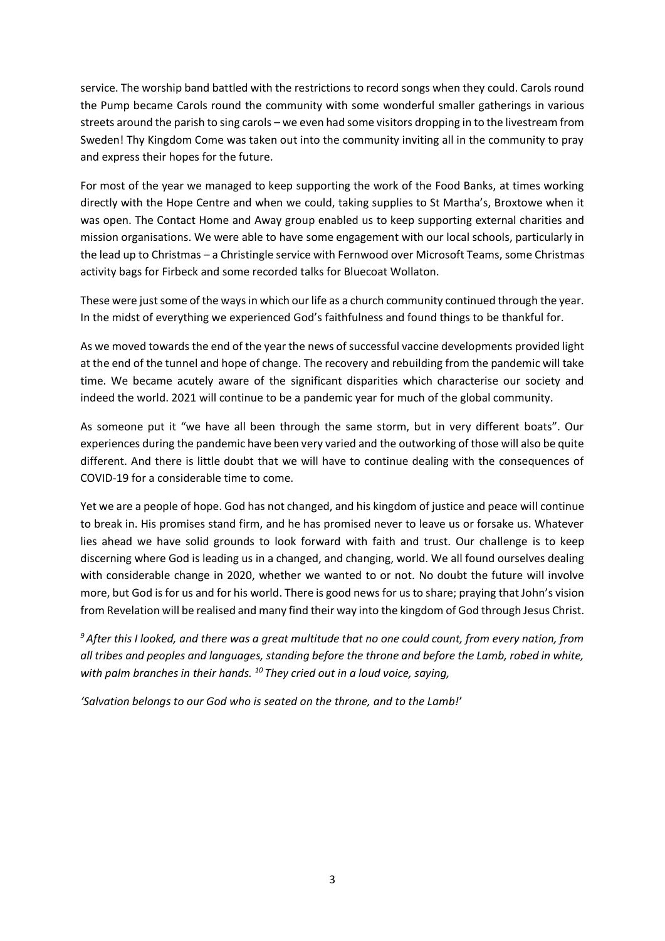service. The worship band battled with the restrictions to record songs when they could. Carols round the Pump became Carols round the community with some wonderful smaller gatherings in various streets around the parish to sing carols – we even had some visitors dropping in to the livestream from Sweden! Thy Kingdom Come was taken out into the community inviting all in the community to pray and express their hopes for the future.

For most of the year we managed to keep supporting the work of the Food Banks, at times working directly with the Hope Centre and when we could, taking supplies to St Martha's, Broxtowe when it was open. The Contact Home and Away group enabled us to keep supporting external charities and mission organisations. We were able to have some engagement with our local schools, particularly in the lead up to Christmas – a Christingle service with Fernwood over Microsoft Teams, some Christmas activity bags for Firbeck and some recorded talks for Bluecoat Wollaton.

These were just some of the ways in which our life as a church community continued through the year. In the midst of everything we experienced God's faithfulness and found things to be thankful for.

As we moved towards the end of the year the news of successful vaccine developments provided light at the end of the tunnel and hope of change. The recovery and rebuilding from the pandemic will take time. We became acutely aware of the significant disparities which characterise our society and indeed the world. 2021 will continue to be a pandemic year for much of the global community.

As someone put it "we have all been through the same storm, but in very different boats". Our experiences during the pandemic have been very varied and the outworking of those will also be quite different. And there is little doubt that we will have to continue dealing with the consequences of COVID-19 for a considerable time to come.

Yet we are a people of hope. God has not changed, and his kingdom of justice and peace will continue to break in. His promises stand firm, and he has promised never to leave us or forsake us. Whatever lies ahead we have solid grounds to look forward with faith and trust. Our challenge is to keep discerning where God is leading us in a changed, and changing, world. We all found ourselves dealing with considerable change in 2020, whether we wanted to or not. No doubt the future will involve more, but God is for us and for his world. There is good news for us to share; praying that John's vision from Revelation will be realised and many find their way into the kingdom of God through Jesus Christ.

*<sup>9</sup> After this I looked, and there was a great multitude that no one could count, from every nation, from all tribes and peoples and languages, standing before the throne and before the Lamb, robed in white, with palm branches in their hands. <sup>10</sup> They cried out in a loud voice, saying,*

*'Salvation belongs to our God who is seated on the throne, and to the Lamb!*'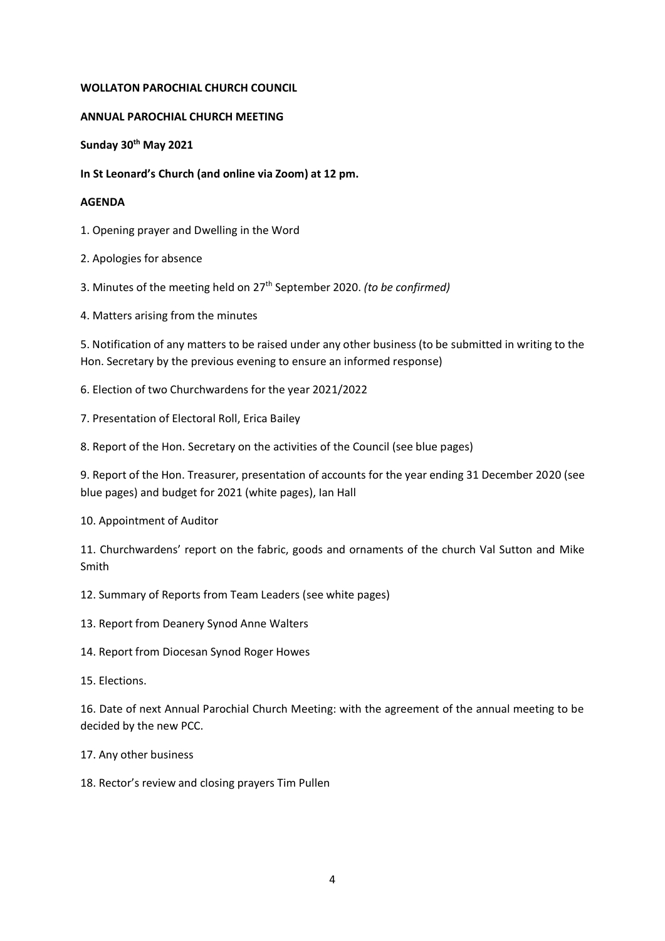#### **WOLLATON PAROCHIAL CHURCH COUNCIL**

#### **ANNUAL PAROCHIAL CHURCH MEETING**

**Sunday 30th May 2021**

**In St Leonard's Church (and online via Zoom) at 12 pm.**

#### **AGENDA**

1. Opening prayer and Dwelling in the Word

- 2. Apologies for absence
- 3. Minutes of the meeting held on 27th September 2020. *(to be confirmed)*
- 4. Matters arising from the minutes

5. Notification of any matters to be raised under any other business (to be submitted in writing to the Hon. Secretary by the previous evening to ensure an informed response)

- 6. Election of two Churchwardens for the year 2021/2022
- 7. Presentation of Electoral Roll, Erica Bailey
- 8. Report of the Hon. Secretary on the activities of the Council (see blue pages)

9. Report of the Hon. Treasurer, presentation of accounts for the year ending 31 December 2020 (see blue pages) and budget for 2021 (white pages), Ian Hall

10. Appointment of Auditor

11. Churchwardens' report on the fabric, goods and ornaments of the church Val Sutton and Mike Smith

12. Summary of Reports from Team Leaders (see white pages)

- 13. Report from Deanery Synod Anne Walters
- 14. Report from Diocesan Synod Roger Howes
- 15. Elections.

16. Date of next Annual Parochial Church Meeting: with the agreement of the annual meeting to be decided by the new PCC.

17. Any other business

18. Rector's review and closing prayers Tim Pullen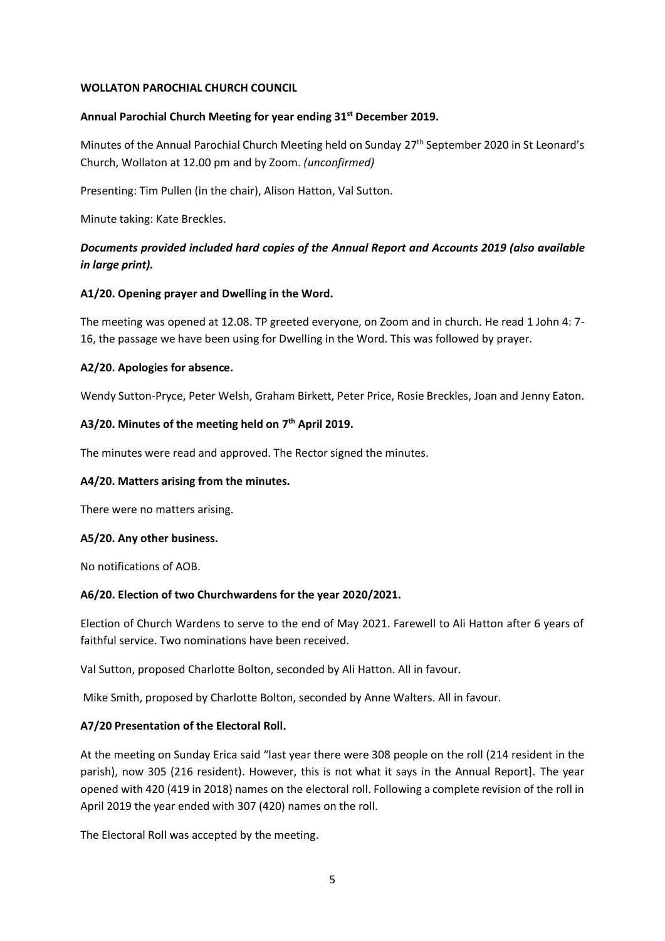#### **WOLLATON PAROCHIAL CHURCH COUNCIL**

#### **Annual Parochial Church Meeting for year ending 31st December 2019.**

Minutes of the Annual Parochial Church Meeting held on Sunday 27<sup>th</sup> September 2020 in St Leonard's Church, Wollaton at 12.00 pm and by Zoom. *(unconfirmed)*

Presenting: Tim Pullen (in the chair), Alison Hatton, Val Sutton.

Minute taking: Kate Breckles.

## *Documents provided included hard copies of the Annual Report and Accounts 2019 (also available in large print).*

## **A1/20. Opening prayer and Dwelling in the Word.**

The meeting was opened at 12.08. TP greeted everyone, on Zoom and in church. He read 1 John 4: 7- 16, the passage we have been using for Dwelling in the Word. This was followed by prayer.

#### **A2/20. Apologies for absence.**

Wendy Sutton-Pryce, Peter Welsh, Graham Birkett, Peter Price, Rosie Breckles, Joan and Jenny Eaton.

## **A3/20. Minutes of the meeting held on 7 th April 2019.**

The minutes were read and approved. The Rector signed the minutes.

#### **A4/20. Matters arising from the minutes.**

There were no matters arising.

#### **A5/20. Any other business.**

No notifications of AOB.

#### **A6/20. Election of two Churchwardens for the year 2020/2021.**

Election of Church Wardens to serve to the end of May 2021. Farewell to Ali Hatton after 6 years of faithful service. Two nominations have been received.

Val Sutton, proposed Charlotte Bolton, seconded by Ali Hatton. All in favour.

Mike Smith, proposed by Charlotte Bolton, seconded by Anne Walters. All in favour.

## **A7/20 Presentation of the Electoral Roll.**

At the meeting on Sunday Erica said "last year there were 308 people on the roll (214 resident in the parish), now 305 (216 resident). However, this is not what it says in the Annual Report]. The year opened with 420 (419 in 2018) names on the electoral roll. Following a complete revision of the roll in April 2019 the year ended with 307 (420) names on the roll.

The Electoral Roll was accepted by the meeting.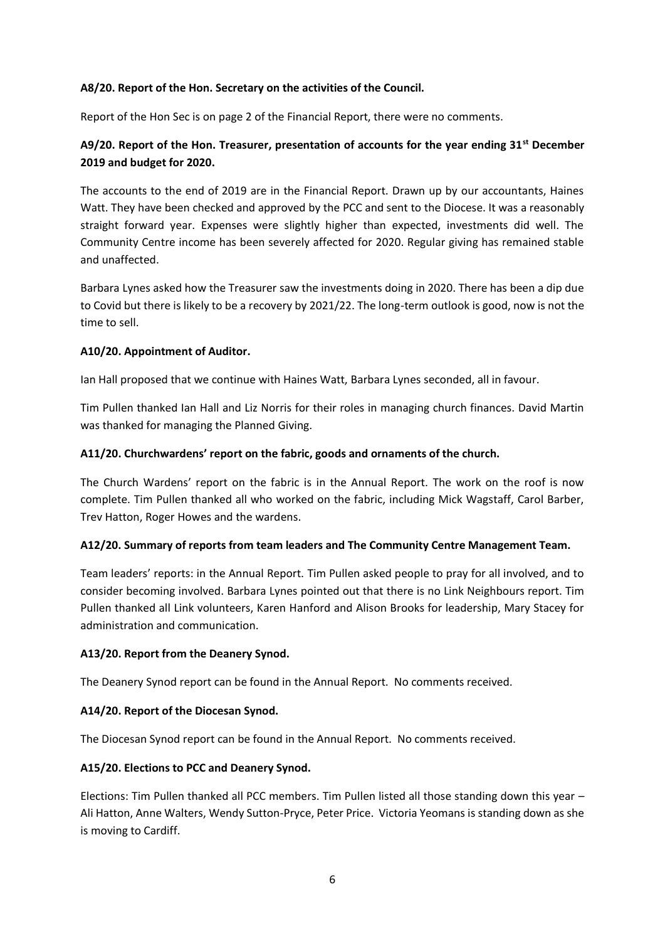#### **A8/20. Report of the Hon. Secretary on the activities of the Council.**

Report of the Hon Sec is on page 2 of the Financial Report, there were no comments.

## **A9/20. Report of the Hon. Treasurer, presentation of accounts for the year ending 31st December 2019 and budget for 2020.**

The accounts to the end of 2019 are in the Financial Report. Drawn up by our accountants, Haines Watt. They have been checked and approved by the PCC and sent to the Diocese. It was a reasonably straight forward year. Expenses were slightly higher than expected, investments did well. The Community Centre income has been severely affected for 2020. Regular giving has remained stable and unaffected.

Barbara Lynes asked how the Treasurer saw the investments doing in 2020. There has been a dip due to Covid but there is likely to be a recovery by 2021/22. The long-term outlook is good, now is not the time to sell.

#### **A10/20. Appointment of Auditor.**

Ian Hall proposed that we continue with Haines Watt, Barbara Lynes seconded, all in favour.

Tim Pullen thanked Ian Hall and Liz Norris for their roles in managing church finances. David Martin was thanked for managing the Planned Giving.

## **A11/20. Churchwardens' report on the fabric, goods and ornaments of the church.**

The Church Wardens' report on the fabric is in the Annual Report. The work on the roof is now complete. Tim Pullen thanked all who worked on the fabric, including Mick Wagstaff, Carol Barber, Trev Hatton, Roger Howes and the wardens.

#### **A12/20. Summary of reports from team leaders and The Community Centre Management Team.**

Team leaders' reports: in the Annual Report. Tim Pullen asked people to pray for all involved, and to consider becoming involved. Barbara Lynes pointed out that there is no Link Neighbours report. Tim Pullen thanked all Link volunteers, Karen Hanford and Alison Brooks for leadership, Mary Stacey for administration and communication.

#### **A13/20. Report from the Deanery Synod.**

The Deanery Synod report can be found in the Annual Report. No comments received.

#### **A14/20. Report of the Diocesan Synod.**

The Diocesan Synod report can be found in the Annual Report. No comments received.

#### **A15/20. Elections to PCC and Deanery Synod.**

Elections: Tim Pullen thanked all PCC members. Tim Pullen listed all those standing down this year – Ali Hatton, Anne Walters, Wendy Sutton-Pryce, Peter Price. Victoria Yeomans is standing down as she is moving to Cardiff.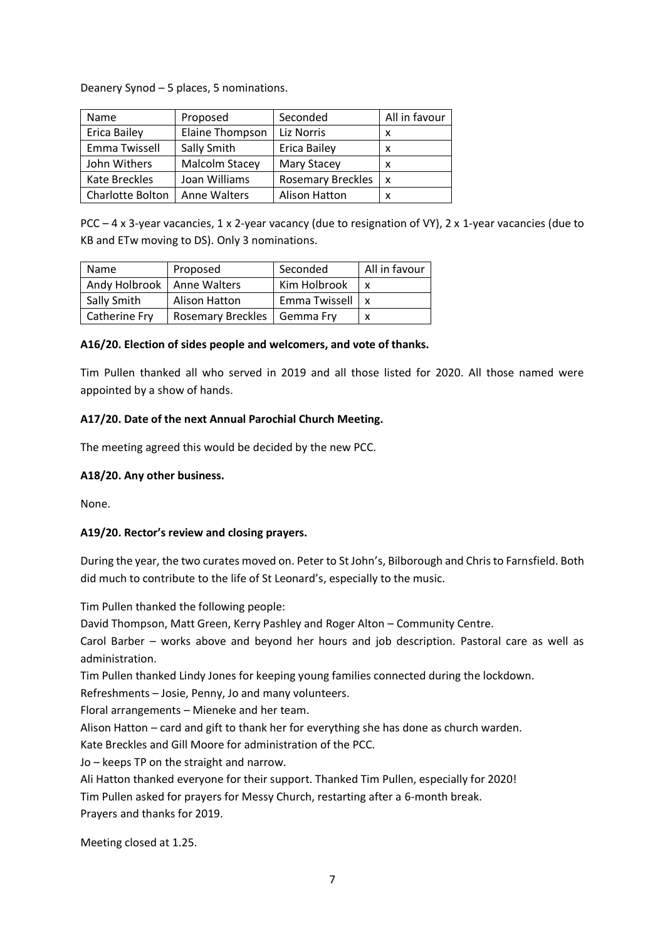Deanery Synod – 5 places, 5 nominations.

| Name                | Proposed              | Seconded                 | All in favour |
|---------------------|-----------------------|--------------------------|---------------|
| <b>Erica Bailey</b> | Elaine Thompson       | Liz Norris               | x             |
| Emma Twissell       | Sally Smith           | <b>Erica Bailey</b>      | x             |
| John Withers        | <b>Malcolm Stacey</b> | Mary Stacey              | x             |
| Kate Breckles       | Joan Williams         | <b>Rosemary Breckles</b> | x             |
| Charlotte Bolton    | Anne Walters          | Alison Hatton            | x             |

PCC – 4 x 3-year vacancies, 1 x 2-year vacancy (due to resignation of VY), 2 x 1-year vacancies (due to KB and ETw moving to DS). Only 3 nominations.

| Name                         | Proposed                      | Seconded         | All in favour |
|------------------------------|-------------------------------|------------------|---------------|
| Andy Holbrook   Anne Walters |                               | Kim Holbrook     |               |
| Sally Smith                  | Alison Hatton                 | Emma Twissell Lx |               |
| Catherine Fry                | Rosemary Breckles   Gemma Fry |                  |               |

## **A16/20. Election of sides people and welcomers, and vote of thanks.**

Tim Pullen thanked all who served in 2019 and all those listed for 2020. All those named were appointed by a show of hands.

## **A17/20. Date of the next Annual Parochial Church Meeting.**

The meeting agreed this would be decided by the new PCC.

## **A18/20. Any other business.**

None.

## **A19/20. Rector's review and closing prayers.**

During the year, the two curates moved on. Peter to St John's, Bilborough and Chris to Farnsfield. Both did much to contribute to the life of St Leonard's, especially to the music.

Tim Pullen thanked the following people:

David Thompson, Matt Green, Kerry Pashley and Roger Alton – Community Centre.

Carol Barber – works above and beyond her hours and job description. Pastoral care as well as administration.

Tim Pullen thanked Lindy Jones for keeping young families connected during the lockdown.

Refreshments – Josie, Penny, Jo and many volunteers.

Floral arrangements – Mieneke and her team.

Alison Hatton – card and gift to thank her for everything she has done as church warden.

Kate Breckles and Gill Moore for administration of the PCC.

Jo – keeps TP on the straight and narrow.

Ali Hatton thanked everyone for their support. Thanked Tim Pullen, especially for 2020!

Tim Pullen asked for prayers for Messy Church, restarting after a 6-month break.

Prayers and thanks for 2019.

Meeting closed at 1.25.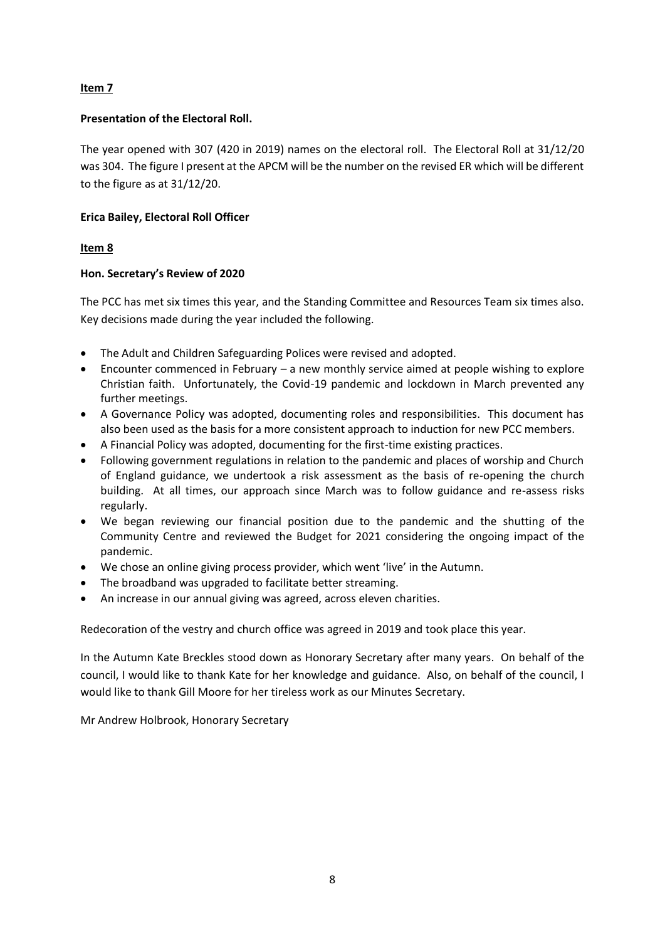## **Item 7**

## **Presentation of the Electoral Roll.**

The year opened with 307 (420 in 2019) names on the electoral roll. The Electoral Roll at 31/12/20 was 304. The figure I present at the APCM will be the number on the revised ER which will be different to the figure as at 31/12/20.

## **Erica Bailey, Electoral Roll Officer**

## **Item 8**

## **Hon. Secretary's Review of 2020**

The PCC has met six times this year, and the Standing Committee and Resources Team six times also. Key decisions made during the year included the following.

- The Adult and Children Safeguarding Polices were revised and adopted.
- Encounter commenced in February a new monthly service aimed at people wishing to explore Christian faith. Unfortunately, the Covid-19 pandemic and lockdown in March prevented any further meetings.
- A Governance Policy was adopted, documenting roles and responsibilities. This document has also been used as the basis for a more consistent approach to induction for new PCC members.
- A Financial Policy was adopted, documenting for the first-time existing practices.
- Following government regulations in relation to the pandemic and places of worship and Church of England guidance, we undertook a risk assessment as the basis of re-opening the church building. At all times, our approach since March was to follow guidance and re-assess risks regularly.
- We began reviewing our financial position due to the pandemic and the shutting of the Community Centre and reviewed the Budget for 2021 considering the ongoing impact of the pandemic.
- We chose an online giving process provider, which went 'live' in the Autumn.
- The broadband was upgraded to facilitate better streaming.
- An increase in our annual giving was agreed, across eleven charities.

Redecoration of the vestry and church office was agreed in 2019 and took place this year.

In the Autumn Kate Breckles stood down as Honorary Secretary after many years. On behalf of the council, I would like to thank Kate for her knowledge and guidance. Also, on behalf of the council, I would like to thank Gill Moore for her tireless work as our Minutes Secretary.

Mr Andrew Holbrook, Honorary Secretary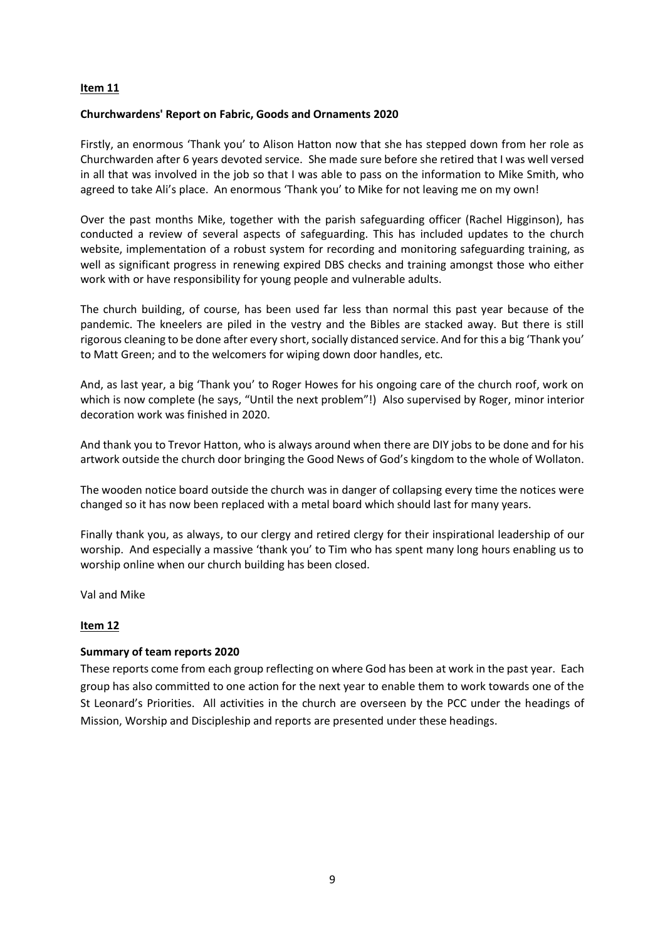#### **Item 11**

#### **Churchwardens' Report on Fabric, Goods and Ornaments 2020**

Firstly, an enormous 'Thank you' to Alison Hatton now that she has stepped down from her role as Churchwarden after 6 years devoted service. She made sure before she retired that I was well versed in all that was involved in the job so that I was able to pass on the information to Mike Smith, who agreed to take Ali's place. An enormous 'Thank you' to Mike for not leaving me on my own!

Over the past months Mike, together with the parish safeguarding officer (Rachel Higginson), has conducted a review of several aspects of safeguarding. This has included updates to the church website, implementation of a robust system for recording and monitoring safeguarding training, as well as significant progress in renewing expired DBS checks and training amongst those who either work with or have responsibility for young people and vulnerable adults.

The church building, of course, has been used far less than normal this past year because of the pandemic. The kneelers are piled in the vestry and the Bibles are stacked away. But there is still rigorous cleaning to be done after every short, socially distanced service. And for this a big 'Thank you' to Matt Green; and to the welcomers for wiping down door handles, etc.

And, as last year, a big 'Thank you' to Roger Howes for his ongoing care of the church roof, work on which is now complete (he says, "Until the next problem"!) Also supervised by Roger, minor interior decoration work was finished in 2020.

And thank you to Trevor Hatton, who is always around when there are DIY jobs to be done and for his artwork outside the church door bringing the Good News of God's kingdom to the whole of Wollaton.

The wooden notice board outside the church was in danger of collapsing every time the notices were changed so it has now been replaced with a metal board which should last for many years.

Finally thank you, as always, to our clergy and retired clergy for their inspirational leadership of our worship. And especially a massive 'thank you' to Tim who has spent many long hours enabling us to worship online when our church building has been closed.

Val and Mike

#### **Item 12**

#### **Summary of team reports 2020**

These reports come from each group reflecting on where God has been at work in the past year. Each group has also committed to one action for the next year to enable them to work towards one of the St Leonard's Priorities. All activities in the church are overseen by the PCC under the headings of Mission, Worship and Discipleship and reports are presented under these headings.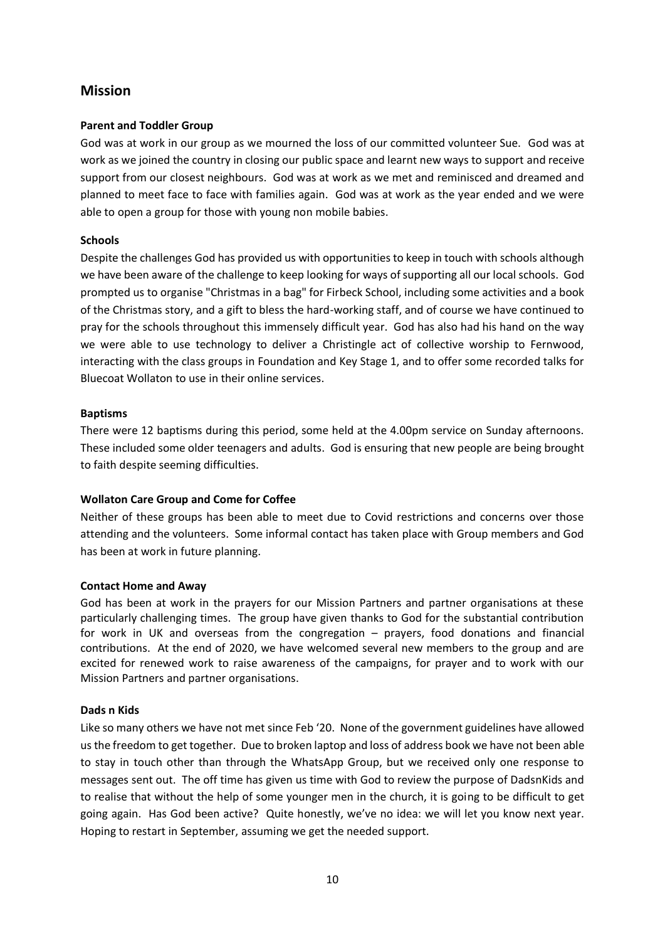## **Mission**

#### **Parent and Toddler Group**

God was at work in our group as we mourned the loss of our committed volunteer Sue. God was at work as we joined the country in closing our public space and learnt new ways to support and receive support from our closest neighbours. God was at work as we met and reminisced and dreamed and planned to meet face to face with families again. God was at work as the year ended and we were able to open a group for those with young non mobile babies.

## **Schools**

Despite the challenges God has provided us with opportunities to keep in touch with schools although we have been aware of the challenge to keep looking for ways of supporting all our local schools. God prompted us to organise "Christmas in a bag" for Firbeck School, including some activities and a book of the Christmas story, and a gift to bless the hard-working staff, and of course we have continued to pray for the schools throughout this immensely difficult year. God has also had his hand on the way we were able to use technology to deliver a Christingle act of collective worship to Fernwood, interacting with the class groups in Foundation and Key Stage 1, and to offer some recorded talks for Bluecoat Wollaton to use in their online services.

#### **Baptisms**

There were 12 baptisms during this period, some held at the 4.00pm service on Sunday afternoons. These included some older teenagers and adults. God is ensuring that new people are being brought to faith despite seeming difficulties.

## **Wollaton Care Group and Come for Coffee**

Neither of these groups has been able to meet due to Covid restrictions and concerns over those attending and the volunteers. Some informal contact has taken place with Group members and God has been at work in future planning.

#### **Contact Home and Away**

God has been at work in the prayers for our Mission Partners and partner organisations at these particularly challenging times. The group have given thanks to God for the substantial contribution for work in UK and overseas from the congregation – prayers, food donations and financial contributions. At the end of 2020, we have welcomed several new members to the group and are excited for renewed work to raise awareness of the campaigns, for prayer and to work with our Mission Partners and partner organisations.

#### **Dads n Kids**

Like so many others we have not met since Feb '20. None of the government guidelines have allowed us the freedom to get together. Due to broken laptop and loss of address book we have not been able to stay in touch other than through the WhatsApp Group, but we received only one response to messages sent out. The off time has given us time with God to review the purpose of DadsnKids and to realise that without the help of some younger men in the church, it is going to be difficult to get going again. Has God been active? Quite honestly, we've no idea: we will let you know next year. Hoping to restart in September, assuming we get the needed support.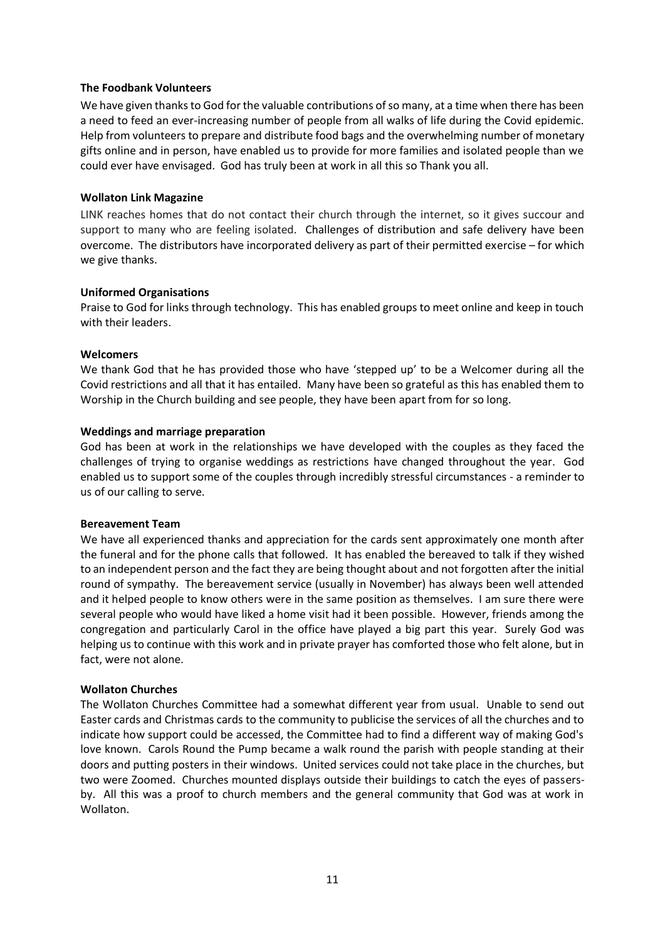#### **The Foodbank Volunteers**

We have given thanks to God for the valuable contributions of so many, at a time when there has been a need to feed an ever-increasing number of people from all walks of life during the Covid epidemic. Help from volunteers to prepare and distribute food bags and the overwhelming number of monetary gifts online and in person, have enabled us to provide for more families and isolated people than we could ever have envisaged. God has truly been at work in all this so Thank you all.

#### **Wollaton Link Magazine**

LINK reaches homes that do not contact their church through the internet, so it gives succour and support to many who are feeling isolated. Challenges of distribution and safe delivery have been overcome. The distributors have incorporated delivery as part of their permitted exercise – for which we give thanks.

#### **Uniformed Organisations**

Praise to God for links through technology. This has enabled groups to meet online and keep in touch with their leaders.

#### **Welcomers**

We thank God that he has provided those who have 'stepped up' to be a Welcomer during all the Covid restrictions and all that it has entailed. Many have been so grateful as this has enabled them to Worship in the Church building and see people, they have been apart from for so long.

#### **Weddings and marriage preparation**

God has been at work in the relationships we have developed with the couples as they faced the challenges of trying to organise weddings as restrictions have changed throughout the year. God enabled us to support some of the couples through incredibly stressful circumstances - a reminder to us of our calling to serve.

#### **Bereavement Team**

We have all experienced thanks and appreciation for the cards sent approximately one month after the funeral and for the phone calls that followed. It has enabled the bereaved to talk if they wished to an independent person and the fact they are being thought about and not forgotten after the initial round of sympathy. The bereavement service (usually in November) has always been well attended and it helped people to know others were in the same position as themselves. I am sure there were several people who would have liked a home visit had it been possible. However, friends among the congregation and particularly Carol in the office have played a big part this year. Surely God was helping us to continue with this work and in private prayer has comforted those who felt alone, but in fact, were not alone.

#### **Wollaton Churches**

The Wollaton Churches Committee had a somewhat different year from usual. Unable to send out Easter cards and Christmas cards to the community to publicise the services of all the churches and to indicate how support could be accessed, the Committee had to find a different way of making God's love known. Carols Round the Pump became a walk round the parish with people standing at their doors and putting posters in their windows. United services could not take place in the churches, but two were Zoomed. Churches mounted displays outside their buildings to catch the eyes of passersby. All this was a proof to church members and the general community that God was at work in Wollaton.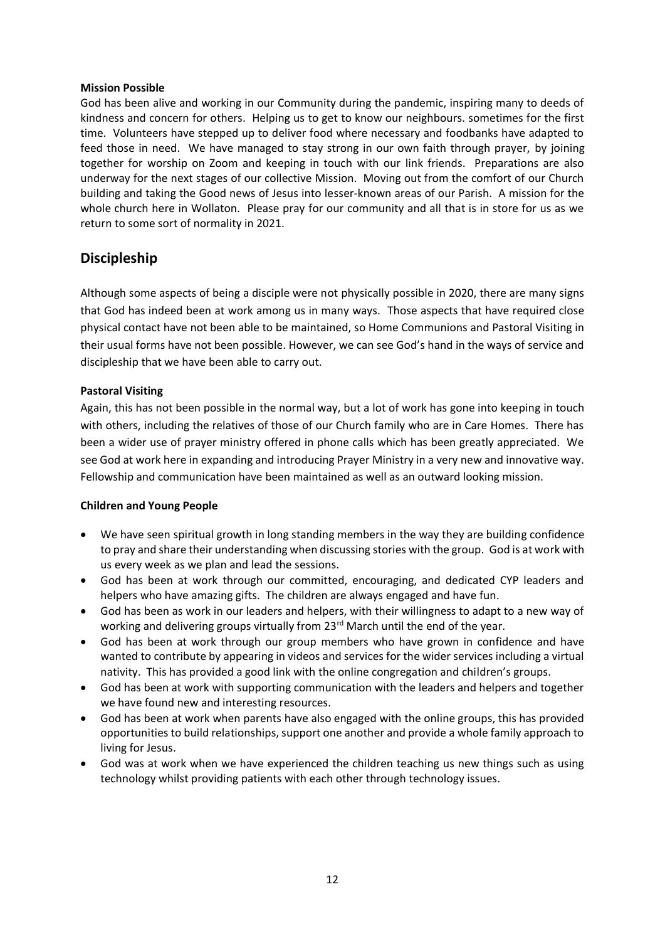#### **Mission Possible**

God has been alive and working in our Community during the pandemic, inspiring many to deeds of kindness and concern for others. Helping us to get to know our neighbours. sometimes for the first time. Volunteers have stepped up to deliver food where necessary and foodbanks have adapted to feed those in need. We have managed to stay strong in our own faith through prayer, by joining together for worship on Zoom and keeping in touch with our link friends. Preparations are also underway for the next stages of our collective Mission. Moving out from the comfort of our Church building and taking the Good news of Jesus into lesser-known areas of our Parish. A mission for the whole church here in Wollaton. Please pray for our community and all that is in store for us as we return to some sort of normality in 2021.

## **Discipleship**

Although some aspects of being a disciple were not physically possible in 2020, there are many signs that God has indeed been at work among us in many ways. Those aspects that have required close physical contact have not been able to be maintained, so Home Communions and Pastoral Visiting in their usual forms have not been possible. However, we can see God's hand in the ways of service and discipleship that we have been able to carry out.

## **Pastoral Visiting**

Again, this has not been possible in the normal way, but a lot of work has gone into keeping in touch with others, including the relatives of those of our Church family who are in Care Homes. There has been a wider use of prayer ministry offered in phone calls which has been greatly appreciated. We see God at work here in expanding and introducing Prayer Ministry in a very new and innovative way. Fellowship and communication have been maintained as well as an outward looking mission.

#### **Children and Young People**

- We have seen spiritual growth in long standing members in the way they are building confidence to pray and share their understanding when discussing stories with the group. God is at work with us every week as we plan and lead the sessions.
- God has been at work through our committed, encouraging, and dedicated CYP leaders and helpers who have amazing gifts. The children are always engaged and have fun.
- God has been as work in our leaders and helpers, with their willingness to adapt to a new way of working and delivering groups virtually from 23<sup>rd</sup> March until the end of the year.
- God has been at work through our group members who have grown in confidence and have wanted to contribute by appearing in videos and services for the wider services including a virtual nativity. This has provided a good link with the online congregation and children's groups.
- God has been at work with supporting communication with the leaders and helpers and together we have found new and interesting resources.
- God has been at work when parents have also engaged with the online groups, this has provided opportunities to build relationships, support one another and provide a whole family approach to living for Jesus.
- God was at work when we have experienced the children teaching us new things such as using technology whilst providing patients with each other through technology issues.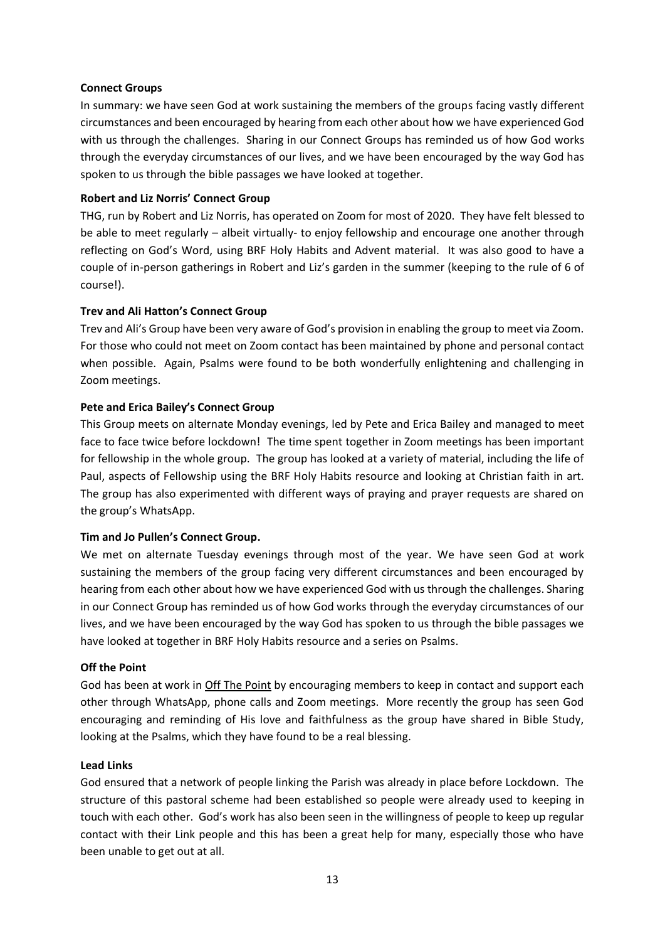#### **Connect Groups**

In summary: we have seen God at work sustaining the members of the groups facing vastly different circumstances and been encouraged by hearing from each other about how we have experienced God with us through the challenges. Sharing in our Connect Groups has reminded us of how God works through the everyday circumstances of our lives, and we have been encouraged by the way God has spoken to us through the bible passages we have looked at together.

## **Robert and Liz Norris' Connect Group**

THG, run by Robert and Liz Norris, has operated on Zoom for most of 2020. They have felt blessed to be able to meet regularly – albeit virtually- to enjoy fellowship and encourage one another through reflecting on God's Word, using BRF Holy Habits and Advent material. It was also good to have a couple of in-person gatherings in Robert and Liz's garden in the summer (keeping to the rule of 6 of course!).

## **Trev and Ali Hatton's Connect Group**

Trev and Ali's Group have been very aware of God's provision in enabling the group to meet via Zoom. For those who could not meet on Zoom contact has been maintained by phone and personal contact when possible. Again, Psalms were found to be both wonderfully enlightening and challenging in Zoom meetings.

## **Pete and Erica Bailey's Connect Group**

This Group meets on alternate Monday evenings, led by Pete and Erica Bailey and managed to meet face to face twice before lockdown! The time spent together in Zoom meetings has been important for fellowship in the whole group. The group has looked at a variety of material, including the life of Paul, aspects of Fellowship using the BRF Holy Habits resource and looking at Christian faith in art. The group has also experimented with different ways of praying and prayer requests are shared on the group's WhatsApp.

#### **Tim and Jo Pullen's Connect Group.**

We met on alternate Tuesday evenings through most of the year. We have seen God at work sustaining the members of the group facing very different circumstances and been encouraged by hearing from each other about how we have experienced God with us through the challenges. Sharing in our Connect Group has reminded us of how God works through the everyday circumstances of our lives, and we have been encouraged by the way God has spoken to us through the bible passages we have looked at together in BRF Holy Habits resource and a series on Psalms.

#### **Off the Point**

God has been at work in Off The Point by encouraging members to keep in contact and support each other through WhatsApp, phone calls and Zoom meetings. More recently the group has seen God encouraging and reminding of His love and faithfulness as the group have shared in Bible Study, looking at the Psalms, which they have found to be a real blessing.

#### **Lead Links**

God ensured that a network of people linking the Parish was already in place before Lockdown. The structure of this pastoral scheme had been established so people were already used to keeping in touch with each other. God's work has also been seen in the willingness of people to keep up regular contact with their Link people and this has been a great help for many, especially those who have been unable to get out at all.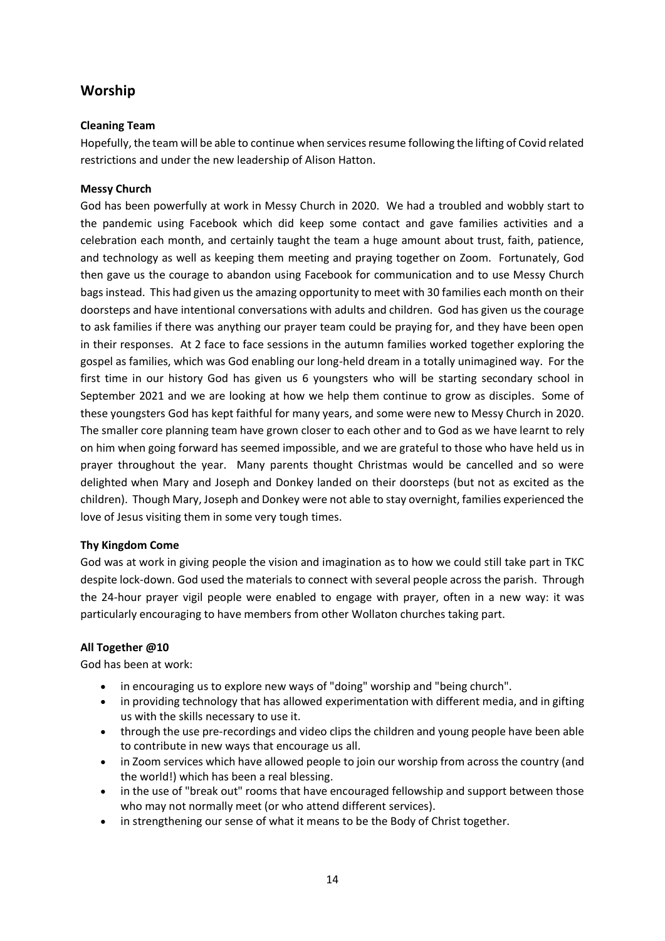## **Worship**

## **Cleaning Team**

Hopefully, the team will be able to continue when services resume following the lifting of Covid related restrictions and under the new leadership of Alison Hatton.

## **Messy Church**

God has been powerfully at work in Messy Church in 2020. We had a troubled and wobbly start to the pandemic using Facebook which did keep some contact and gave families activities and a celebration each month, and certainly taught the team a huge amount about trust, faith, patience, and technology as well as keeping them meeting and praying together on Zoom. Fortunately, God then gave us the courage to abandon using Facebook for communication and to use Messy Church bags instead. This had given us the amazing opportunity to meet with 30 families each month on their doorsteps and have intentional conversations with adults and children. God has given us the courage to ask families if there was anything our prayer team could be praying for, and they have been open in their responses. At 2 face to face sessions in the autumn families worked together exploring the gospel as families, which was God enabling our long-held dream in a totally unimagined way. For the first time in our history God has given us 6 youngsters who will be starting secondary school in September 2021 and we are looking at how we help them continue to grow as disciples. Some of these youngsters God has kept faithful for many years, and some were new to Messy Church in 2020. The smaller core planning team have grown closer to each other and to God as we have learnt to rely on him when going forward has seemed impossible, and we are grateful to those who have held us in prayer throughout the year. Many parents thought Christmas would be cancelled and so were delighted when Mary and Joseph and Donkey landed on their doorsteps (but not as excited as the children). Though Mary, Joseph and Donkey were not able to stay overnight, families experienced the love of Jesus visiting them in some very tough times.

## **Thy Kingdom Come**

God was at work in giving people the vision and imagination as to how we could still take part in TKC despite lock-down. God used the materials to connect with several people across the parish. Through the 24-hour prayer vigil people were enabled to engage with prayer, often in a new way: it was particularly encouraging to have members from other Wollaton churches taking part.

## **All Together @10**

God has been at work:

- in encouraging us to explore new ways of "doing" worship and "being church".
- in providing technology that has allowed experimentation with different media, and in gifting us with the skills necessary to use it.
- through the use pre-recordings and video clips the children and young people have been able to contribute in new ways that encourage us all.
- in Zoom services which have allowed people to join our worship from across the country (and the world!) which has been a real blessing.
- in the use of "break out" rooms that have encouraged fellowship and support between those who may not normally meet (or who attend different services).
- in strengthening our sense of what it means to be the Body of Christ together.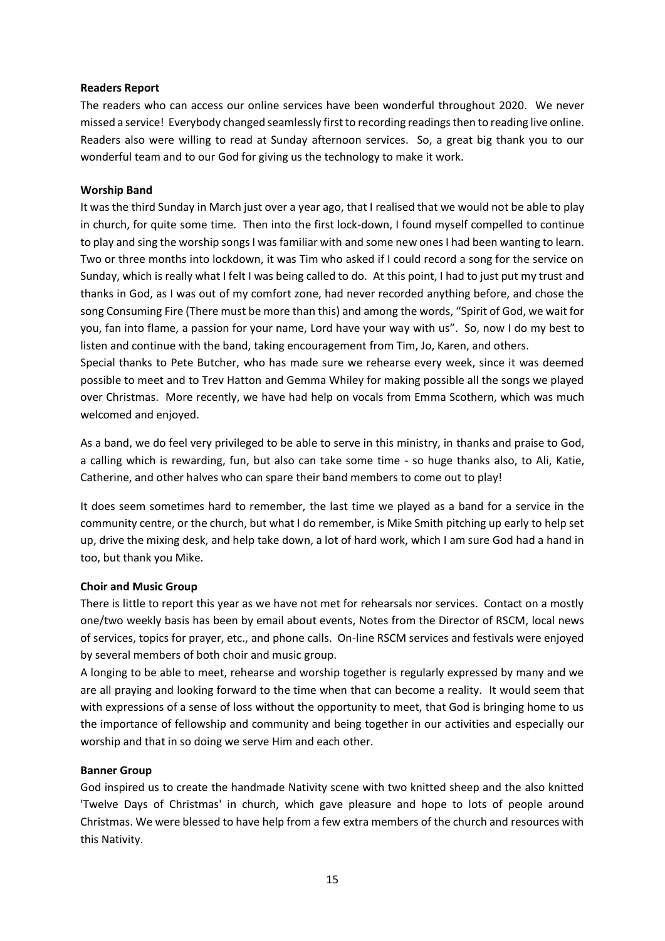#### **Readers Report**

The readers who can access our online services have been wonderful throughout 2020. We never missed a service! Everybody changed seamlessly first to recording readings then to reading live online. Readers also were willing to read at Sunday afternoon services. So, a great big thank you to our wonderful team and to our God for giving us the technology to make it work.

#### **Worship Band**

It was the third Sunday in March just over a year ago, that I realised that we would not be able to play in church, for quite some time. Then into the first lock-down, I found myself compelled to continue to play and sing the worship songs I was familiar with and some new ones I had been wanting to learn. Two or three months into lockdown, it was Tim who asked if I could record a song for the service on Sunday, which is really what I felt I was being called to do. At this point, I had to just put my trust and thanks in God, as I was out of my comfort zone, had never recorded anything before, and chose the song Consuming Fire (There must be more than this) and among the words, "Spirit of God, we wait for you, fan into flame, a passion for your name, Lord have your way with us". So, now I do my best to listen and continue with the band, taking encouragement from Tim, Jo, Karen, and others.

Special thanks to Pete Butcher, who has made sure we rehearse every week, since it was deemed possible to meet and to Trev Hatton and Gemma Whiley for making possible all the songs we played over Christmas. More recently, we have had help on vocals from Emma Scothern, which was much welcomed and enjoyed.

As a band, we do feel very privileged to be able to serve in this ministry, in thanks and praise to God, a calling which is rewarding, fun, but also can take some time - so huge thanks also, to Ali, Katie, Catherine, and other halves who can spare their band members to come out to play!

It does seem sometimes hard to remember, the last time we played as a band for a service in the community centre, or the church, but what I do remember, is Mike Smith pitching up early to help set up, drive the mixing desk, and help take down, a lot of hard work, which I am sure God had a hand in too, but thank you Mike.

## **Choir and Music Group**

There is little to report this year as we have not met for rehearsals nor services. Contact on a mostly one/two weekly basis has been by email about events, Notes from the Director of RSCM, local news of services, topics for prayer, etc., and phone calls. On-line RSCM services and festivals were enjoyed by several members of both choir and music group.

A longing to be able to meet, rehearse and worship together is regularly expressed by many and we are all praying and looking forward to the time when that can become a reality. It would seem that with expressions of a sense of loss without the opportunity to meet, that God is bringing home to us the importance of fellowship and community and being together in our activities and especially our worship and that in so doing we serve Him and each other.

#### **Banner Group**

God inspired us to create the handmade Nativity scene with two knitted sheep and the also knitted 'Twelve Days of Christmas' in church, which gave pleasure and hope to lots of people around Christmas. We were blessed to have help from a few extra members of the church and resources with this Nativity.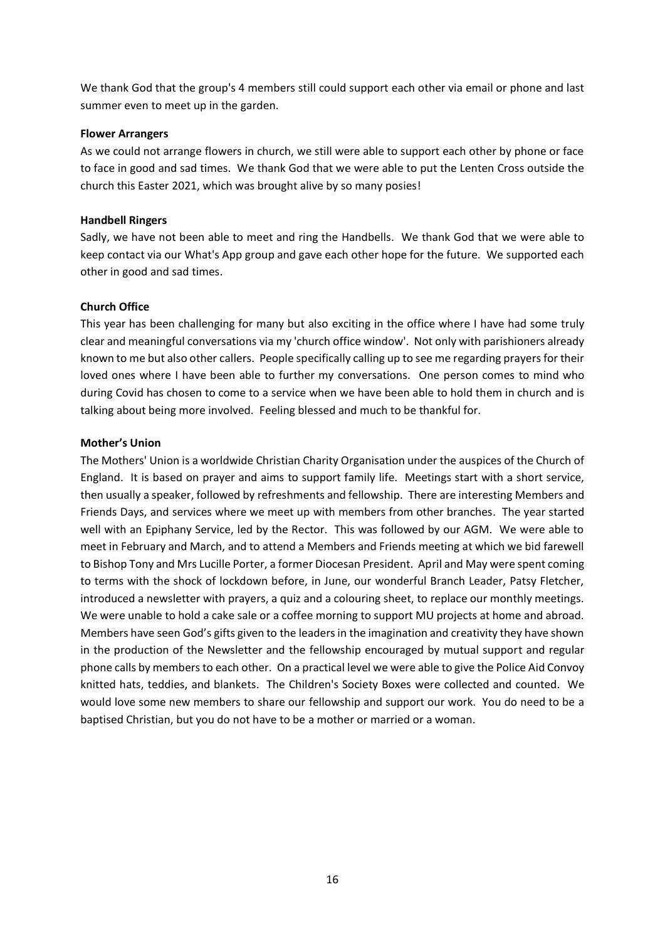We thank God that the group's 4 members still could support each other via email or phone and last summer even to meet up in the garden.

#### **Flower Arrangers**

As we could not arrange flowers in church, we still were able to support each other by phone or face to face in good and sad times. We thank God that we were able to put the Lenten Cross outside the church this Easter 2021, which was brought alive by so many posies!

#### **Handbell Ringers**

Sadly, we have not been able to meet and ring the Handbells. We thank God that we were able to keep contact via our What's App group and gave each other hope for the future. We supported each other in good and sad times.

#### **Church Office**

This year has been challenging for many but also exciting in the office where I have had some truly clear and meaningful conversations via my 'church office window'. Not only with parishioners already known to me but also other callers. People specifically calling up to see me regarding prayers for their loved ones where I have been able to further my conversations. One person comes to mind who during Covid has chosen to come to a service when we have been able to hold them in church and is talking about being more involved. Feeling blessed and much to be thankful for.

#### **Mother's Union**

The Mothers' Union is a worldwide Christian Charity Organisation under the auspices of the Church of England. It is based on prayer and aims to support family life. Meetings start with a short service, then usually a speaker, followed by refreshments and fellowship. There are interesting Members and Friends Days, and services where we meet up with members from other branches. The year started well with an Epiphany Service, led by the Rector. This was followed by our AGM. We were able to meet in February and March, and to attend a Members and Friends meeting at which we bid farewell to Bishop Tony and Mrs Lucille Porter, a former Diocesan President. April and May were spent coming to terms with the shock of lockdown before, in June, our wonderful Branch Leader, Patsy Fletcher, introduced a newsletter with prayers, a quiz and a colouring sheet, to replace our monthly meetings. We were unable to hold a cake sale or a coffee morning to support MU projects at home and abroad. Members have seen God's gifts given to the leaders in the imagination and creativity they have shown in the production of the Newsletter and the fellowship encouraged by mutual support and regular phone calls by members to each other. On a practical level we were able to give the Police Aid Convoy knitted hats, teddies, and blankets. The Children's Society Boxes were collected and counted. We would love some new members to share our fellowship and support our work. You do need to be a baptised Christian, but you do not have to be a mother or married or a woman.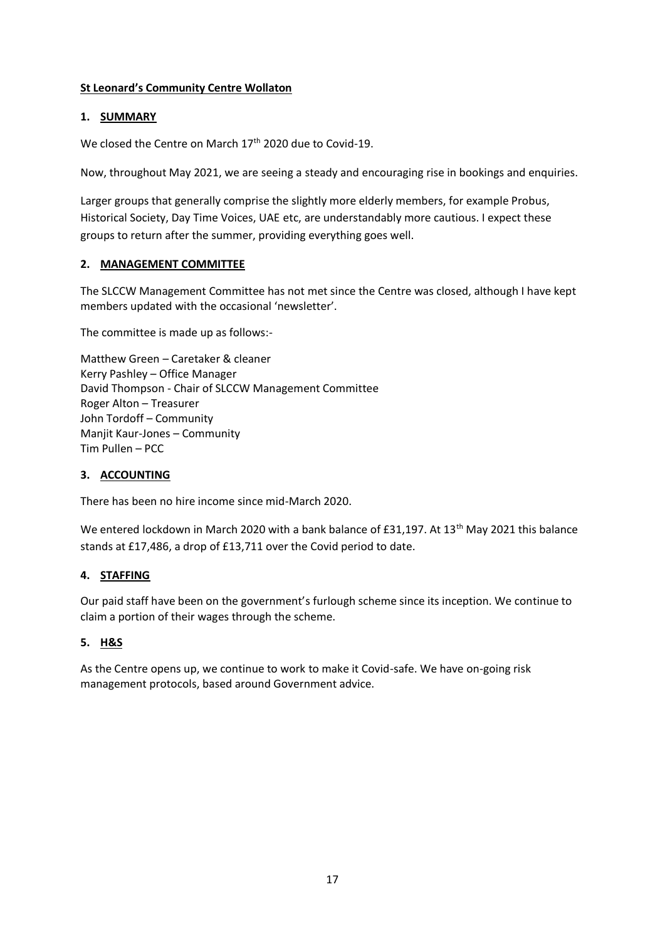## **St Leonard's Community Centre Wollaton**

## **1. SUMMARY**

We closed the Centre on March 17<sup>th</sup> 2020 due to Covid-19.

Now, throughout May 2021, we are seeing a steady and encouraging rise in bookings and enquiries.

Larger groups that generally comprise the slightly more elderly members, for example Probus, Historical Society, Day Time Voices, UAE etc, are understandably more cautious. I expect these groups to return after the summer, providing everything goes well.

## **2. MANAGEMENT COMMITTEE**

The SLCCW Management Committee has not met since the Centre was closed, although I have kept members updated with the occasional 'newsletter'.

The committee is made up as follows:-

Matthew Green – Caretaker & cleaner Kerry Pashley – Office Manager David Thompson - Chair of SLCCW Management Committee Roger Alton – Treasurer John Tordoff – Community Manjit Kaur-Jones – Community Tim Pullen – PCC

#### **3. ACCOUNTING**

There has been no hire income since mid-March 2020.

We entered lockdown in March 2020 with a bank balance of £31,197. At 13<sup>th</sup> May 2021 this balance stands at £17,486, a drop of £13,711 over the Covid period to date.

## **4. STAFFING**

Our paid staff have been on the government's furlough scheme since its inception. We continue to claim a portion of their wages through the scheme.

## **5. H&S**

As the Centre opens up, we continue to work to make it Covid-safe. We have on-going risk management protocols, based around Government advice.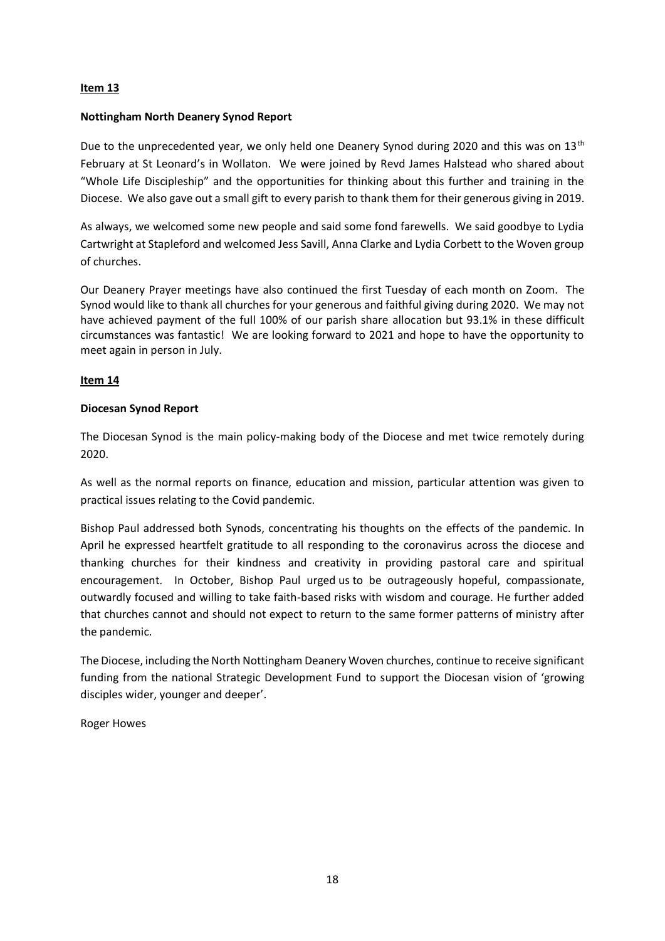## **Item 13**

#### **Nottingham North Deanery Synod Report**

Due to the unprecedented year, we only held one Deanery Synod during 2020 and this was on 13<sup>th</sup> February at St Leonard's in Wollaton. We were joined by Revd James Halstead who shared about "Whole Life Discipleship" and the opportunities for thinking about this further and training in the Diocese. We also gave out a small gift to every parish to thank them for their generous giving in 2019.

As always, we welcomed some new people and said some fond farewells. We said goodbye to Lydia Cartwright at Stapleford and welcomed Jess Savill, Anna Clarke and Lydia Corbett to the Woven group of churches.

Our Deanery Prayer meetings have also continued the first Tuesday of each month on Zoom. The Synod would like to thank all churches for your generous and faithful giving during 2020. We may not have achieved payment of the full 100% of our parish share allocation but 93.1% in these difficult circumstances was fantastic! We are looking forward to 2021 and hope to have the opportunity to meet again in person in July.

## **Item 14**

## **Diocesan Synod Report**

The Diocesan Synod is the main policy-making body of the Diocese and met twice remotely during 2020.

As well as the normal reports on finance, education and mission, particular attention was given to practical issues relating to the Covid pandemic.

Bishop Paul addressed both Synods, concentrating his thoughts on the effects of the pandemic. In April he expressed heartfelt gratitude to all responding to the coronavirus across the diocese and thanking churches for their kindness and creativity in providing pastoral care and spiritual encouragement. In October, Bishop Paul urged us to be outrageously hopeful, compassionate, outwardly focused and willing to take faith-based risks with wisdom and courage. He further added that churches cannot and should not expect to return to the same former patterns of ministry after the pandemic.

The Diocese, including the North Nottingham Deanery Woven churches, continue to receive significant funding from the national Strategic Development Fund to support the Diocesan vision of 'growing disciples wider, younger and deeper'.

Roger Howes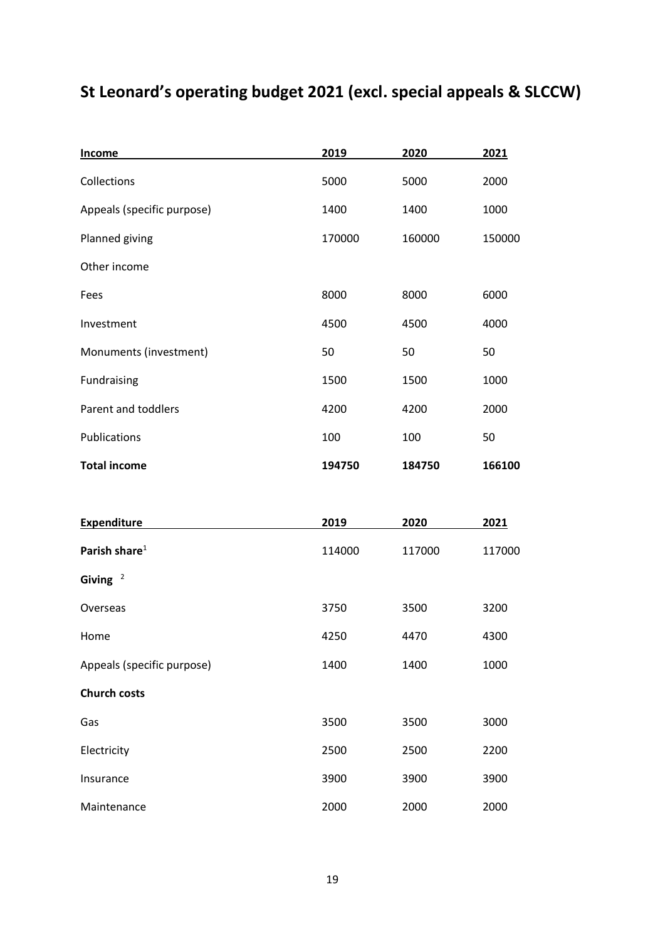## **St Leonard's operating budget 2021 (excl. special appeals & SLCCW)**

| Income                     | 2019   | 2020   | 2021   |
|----------------------------|--------|--------|--------|
| Collections                | 5000   | 5000   | 2000   |
| Appeals (specific purpose) | 1400   | 1400   | 1000   |
| Planned giving             | 170000 | 160000 | 150000 |
| Other income               |        |        |        |
| Fees                       | 8000   | 8000   | 6000   |
| Investment                 | 4500   | 4500   | 4000   |
| Monuments (investment)     | 50     | 50     | 50     |
| Fundraising                | 1500   | 1500   | 1000   |
| Parent and toddlers        | 4200   | 4200   | 2000   |
| Publications               | 100    | 100    | 50     |
| <b>Total income</b>        | 194750 | 184750 | 166100 |
|                            |        |        |        |
| <b>Expenditure</b>         | 2019   | 2020   | 2021   |
| Parish share $1$           | 114000 | 117000 | 117000 |
| Giving $2$                 |        |        |        |
| Overseas                   | 3750   | 3500   | 3200   |
| Home                       | 4250   | 4470   | 4300   |
| Appeals (specific purpose) | 1400   | 1400   | 1000   |
| <b>Church costs</b>        |        |        |        |
| Gas                        | 3500   | 3500   | 3000   |

Insurance 3900 3900 3900 3900 Maintenance 2000 2000 2000 2000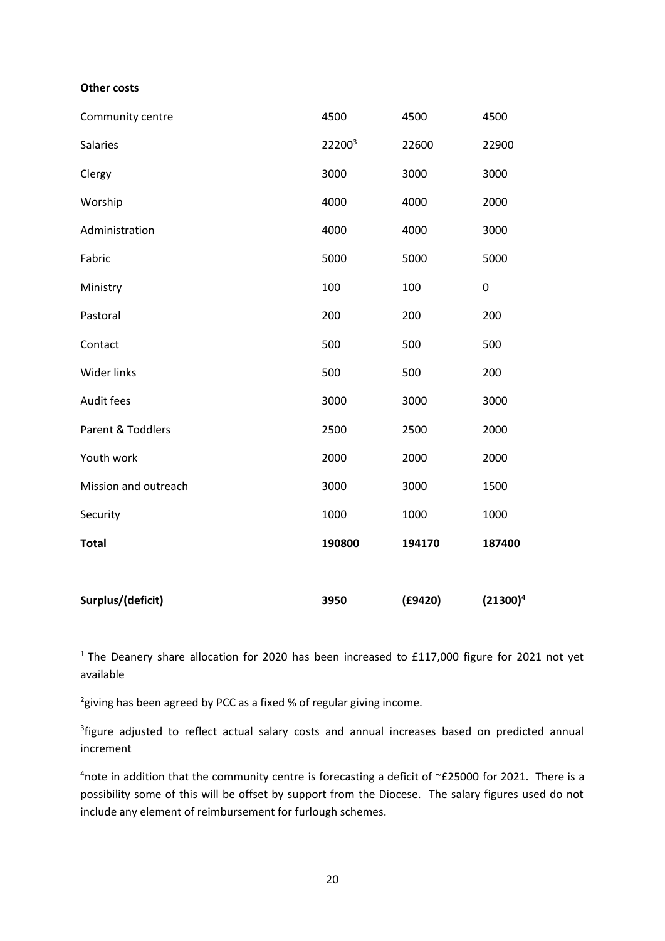#### **Other costs**

| Surplus/(deficit)    | 3950   | (E9420) | $(21300)^4$ |
|----------------------|--------|---------|-------------|
| <b>Total</b>         | 190800 | 194170  | 187400      |
| Security             | 1000   | 1000    | 1000        |
| Mission and outreach | 3000   | 3000    | 1500        |
| Youth work           | 2000   | 2000    | 2000        |
| Parent & Toddlers    | 2500   | 2500    | 2000        |
| Audit fees           | 3000   | 3000    | 3000        |
| <b>Wider links</b>   | 500    | 500     | 200         |
| Contact              | 500    | 500     | 500         |
| Pastoral             | 200    | 200     | 200         |
| Ministry             | 100    | 100     | 0           |
| Fabric               | 5000   | 5000    | 5000        |
| Administration       | 4000   | 4000    | 3000        |
| Worship              | 4000   | 4000    | 2000        |
| Clergy               | 3000   | 3000    | 3000        |
| Salaries             | 222003 | 22600   | 22900       |
| Community centre     | 4500   | 4500    | 4500        |

 $1$  The Deanery share allocation for 2020 has been increased to £117,000 figure for 2021 not yet available

 $^{2}$ giving has been agreed by PCC as a fixed % of regular giving income.

<sup>3</sup> figure adjusted to reflect actual salary costs and annual increases based on predicted annual increment

4note in addition that the community centre is forecasting a deficit of  $\simeq$  £25000 for 2021. There is a possibility some of this will be offset by support from the Diocese. The salary figures used do not include any element of reimbursement for furlough schemes.